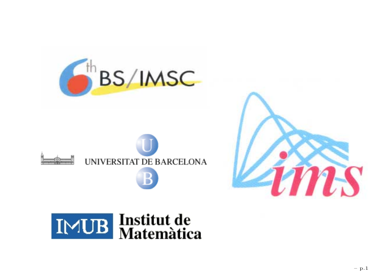





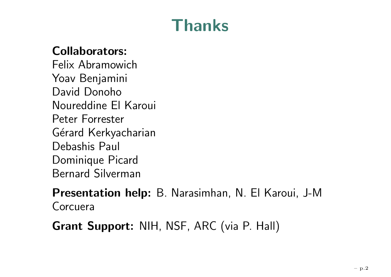# **Thanks**

#### **Collaborators:**

Felix AbramowichYoav Benjamini David DonohoNoureddine El Karoui Peter ForresterGérard Kerkyacharian Debashis Paul Dominique Picard Bernard Silverman

**Presentation help:** B. Narasimhan, N. El Karoui, J-M Corcuera

**Grant Support:** NIH, NSF, ARC (via P. Hall)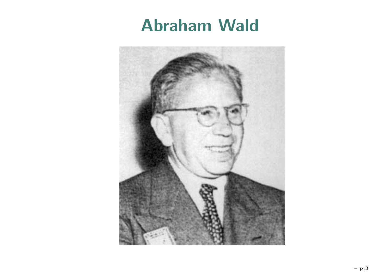#### **Abraham Wald**

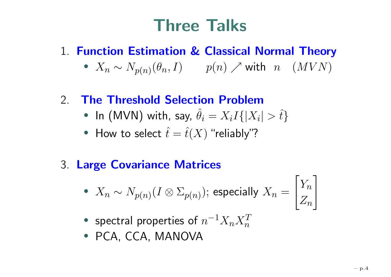# **Three Talks**

#### 1. **Function Estimation & Classical Normal Theory**

 $\bullet~~ X_n \sim N_{p(n)}(\theta_n,I) \qquad p(n) \nearrow \text{with}~~ n \quad (MVN)$ 

#### 2.**The Threshold Selection Problem**

- In (MVN) with, say,  $\hat{\theta}$  $\hat{\theta}_i = X_i I\{|X_i| > \hat{t}\}$
- How to select  $\hat{t}$  $\hat{t} = \hat{t}(X)$  "reliably"?

#### 3. **Large Covariance Matrices**

• 
$$
X_n \sim N_{p(n)}(I \otimes \Sigma_{p(n)})
$$
; especially  $X_n = \begin{bmatrix} Y_n \\ Z_n \end{bmatrix}$ 

- •• spectral properties of  $n^{-1}X_nX_n^T$
- PCA, CCA, MANOVA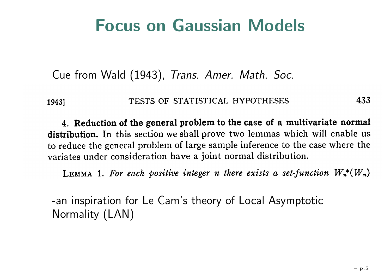#### **Focus on Gaussian Models**

Cue from Wald (1943), Trans. Amer. Math. Soc.

#### 433 TESTS OF STATISTICAL HYPOTHESES 1943]

4. Reduction of the general problem to the case of a multivariate normal distribution. In this section we shall prove two lemmas which will enable us to reduce the general problem of large sample inference to the case where the variates under consideration have a joint normal distribution.

LEMMA 1. For each positive integer n there exists a set-function  $W_n^*(W_n)$ 

-an inspiration for Le Cam's theory of Local Asymptotic Normality (LAN)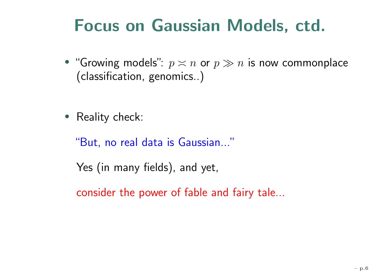# **Focus on Gaussian Models, ctd.**

- $\bullet$  "Growing models":  $p\asymp n$  or  $p\gg n$  is now commonplace (classification, genomics..)
- Reality check:

"But, no real data is Gaussian..."

Yes (in many fields), and yet,

consider the power of fable and fairy tale...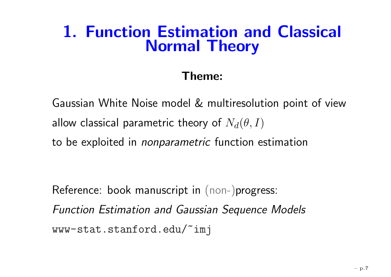#### **1. Function Estimation and Classical Normal Theory**

#### **Theme:**

Gaussian White Noise model & multiresolution point of view allow classical parametric theory of  $N_d(\theta,I)$ to be exploited in *nonparametric* function estimation

Reference: book manuscript in (non-)progress: Function Estimation and Gaussian Sequence Models <www-stat.stanford.edu/~imj>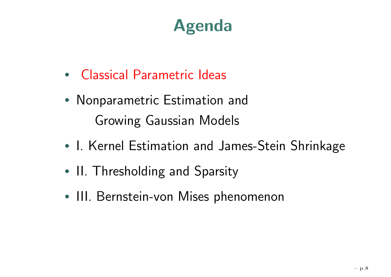# **Agenda**

- Classical Parametric Ideas
- Nonparametric Estimation and Growing Gaussian Models
- •• I. Kernel Estimation and James-Stein Shrinkage
- •• II. Thresholding and Sparsity
- III. Bernstein-von Mises phenomenon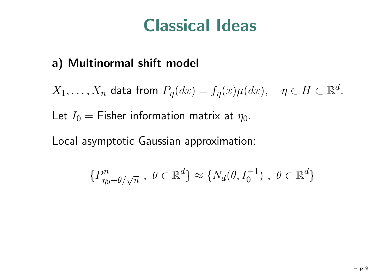#### **Classical Ideas**

#### **a) Multinormal shift model**

 $X_1,\ldots,X_n$  data from  $P_\eta(dx)=f_\eta(x)\mu(dx),\quad \eta\in H\subset\mathbb{R}$ d.

Let  $I_0=$  Fisher information matrix at  $\eta_0.$ 

Local asymptotic Gaussian approximation:

$$
\{P_{\eta_0+\theta/\sqrt{n}}^n, \ \theta \in \mathbb{R}^d\} \approx \{N_d(\theta, I_0^{-1}), \ \theta \in \mathbb{R}^d\}
$$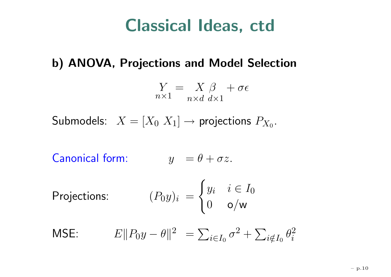#### **Classical Ideas, ctd**

#### **b) ANOVA, Projections and Model Selection**

$$
\underset{n\times 1}{Y} = \underset{n\times d}{X} \underset{d\times 1}{\beta} + \sigma \epsilon
$$

Submodels:  $X = [X_0 \ X_1] \to$  projections  $P_{X_0}.$ 

 $\textsf{Canonical form:}\qquad\qquad y_-=\theta+\sigma z.$ 

Projections:

\n
$$
(P_0 y)_i = \begin{cases} y_i & i \in I_0 \\ 0 & \text{o/w} \end{cases}
$$

$$
\text{MSE:} \qquad E \| P_0 y - \theta \|^2 = \sum_{i \in I_0} \sigma^2 + \sum_{i \notin I_0} \theta_i^2
$$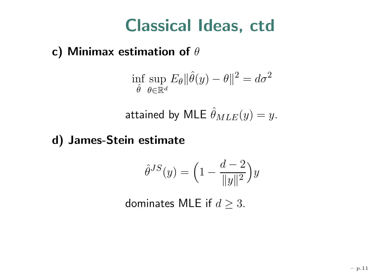### **Classical Ideas, ctd**

#### **c) Minimax estimation of** θ

$$
\inf_{\hat{\theta}} \sup_{\theta \in \mathbb{R}^d} E_{\theta} \|\hat{\theta}(y) - \theta\|^2 = d\sigma^2
$$

attained by MLE  $\hat{\theta}_{MLE}(y) = y.$ 

#### **d) James-Stein estimate**

$$
\hat{\theta}^{JS}(y) = \left(1 - \frac{d-2}{\|y\|^2}\right)y
$$

dominates MLE if  $d\geq 3.$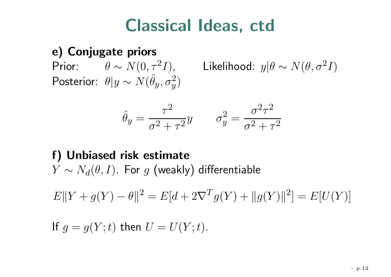### **Classical Ideas, ctd**

#### **e) Conjugate priors**

Prior:  $\qquad \theta \sim N(0, \tau^2 I),$  Likelihood:  $y|\theta$ Posterior:  $\theta|y$  $\sim N(\hat{\theta}_y, \sigma$  $\genfrac{}{}{0pt}{}{2}{y}$ 

 $\sim N(\theta,\sigma^2I)$ 

$$
\hat{\theta}_y = \frac{\tau^2}{\sigma^2 + \tau^2} y \qquad \sigma_y^2 = \frac{\sigma^2 \tau^2}{\sigma^2 + \tau^2}
$$

#### **f) Unbiased risk estimate**  $Y \sim N_d(\theta, I)$ . For  $g$  (weakly) differentiable

 $E\|Y + g(Y)$  $-\theta$ ||  $2^2 = E[d + 2\nabla]$  $T_g(Y) + ||g(Y)||^2 = E[U(Y)]$ 

If 
$$
g = g(Y; t)
$$
 then  $U = U(Y; t)$ .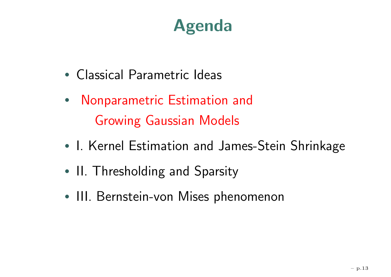# **Agenda**

- Classical Parametric Ideas
- Nonparametric Estimation and Growing Gaussian Models
- •• I. Kernel Estimation and James-Stein Shrinkage
- •• II. Thresholding and Sparsity
- III. Bernstein-von Mises phenomenon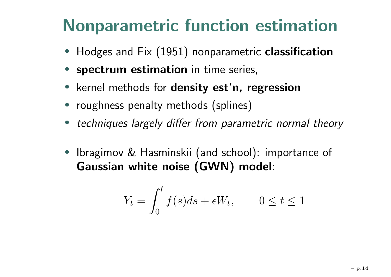# **Nonparametric function estimation**

- Hodges and Fix (1951) nonparametric **classification**
- **spectrum estimation** in time series,
- kernel methods for **density est'n, regression**
- roughness penalty methods (splines)
- techniques largely differ from parametric normal theory
- Ibragimov & Hasminskii (and school): importance of **Gaussian white noise (GWN) model**:

$$
Y_t = \int_0^t f(s)ds + \epsilon W_t, \qquad 0 \le t \le 1
$$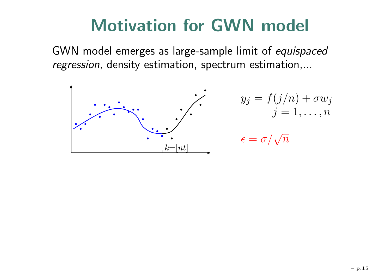### **Motivation for GWN model**

GWN model emerges as large-sample limit of equispaced regression, density estimation, spectrum estimation,...



$$
y_j = f(j/n) + \sigma w_j
$$

$$
j = 1, \dots, n
$$

$$
\epsilon = \sigma/\sqrt{n}
$$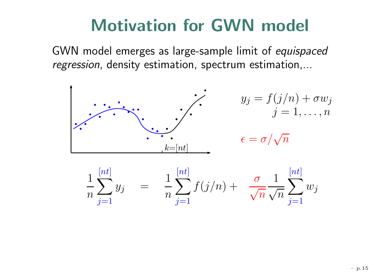### **Motivation for GWN model**

GWN model emerges as large-sample limit of equispaced regression, density estimation, spectrum estimation,...



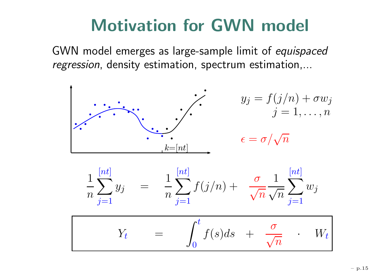### **Motivation for GWN model**

GWN model emerges as large-sample limit of equispaced regression, density estimation, spectrum estimation,...



$$
Y_t = \int_0^t f(s)ds + \frac{\sigma}{\sqrt{n}} \cdot W_t
$$

 $j=1$ 

 $j=1$ 

 $j=1$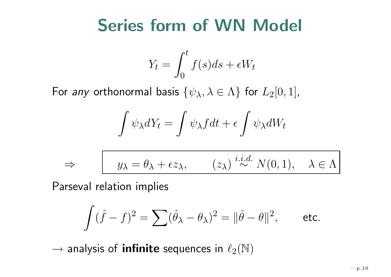### **Series form of WN Model**

$$
Y_t = \int_0^t f(s)ds + \epsilon W_t
$$

For *any* orthonormal basis  $\{\psi_{\lambda}, \lambda \in \Lambda\}$  for  $L_2[0,1]$ ,

$$
\int \psi_{\lambda} dY_t = \int \psi_{\lambda} f dt + \epsilon \int \psi_{\lambda} dW_t
$$

$$
\Rightarrow \qquad y_{\lambda} = \theta_{\lambda} + \epsilon z_{\lambda}, \qquad (z_{\lambda}) \stackrel{i.i.d.}{\sim} N(0, 1), \quad \lambda \in \Lambda
$$

Parseval relation implies

$$
\int (\hat{f}-f)^2=\sum (\hat{\theta}_\lambda-\theta_\lambda)^2=\|\hat{\theta}-\theta\|^2, \qquad \text{etc.}
$$

 $\rightarrow$  analysis of **infinite** sequences in  $\ell_2(\mathbb{N})$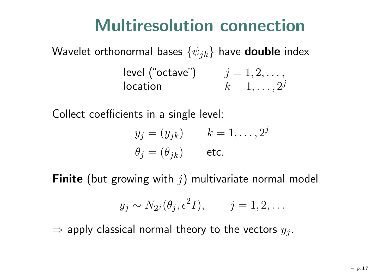### **Multiresolution connection**

Wavelet orthonormal bases  $\{\psi_{jk}\}$  have <code>double</code> index  $\textsf{level}\ (\text{``octave''})\qquad \quad j=1,2,\ldots,$  ${\sf location} \hspace{2cm} k=1,\ldots,2^j$ 

Collect coefficients in <sup>a</sup> single level:

$$
y_j = (y_{jk}) \t k = 1, ..., 2^j
$$
  

$$
\theta_j = (\theta_{jk}) \t \text{etc.}
$$

 $\boldsymbol{\mathsf{Finite}}\pmod{p}$  (but growing with  $j)$  multivariate normal model

$$
y_j \sim N_{2^j}(\theta_j, \epsilon^2 I), \qquad j = 1, 2, ...
$$

 $\Rightarrow$  apply classical normal theory to the vectors  $y_j.$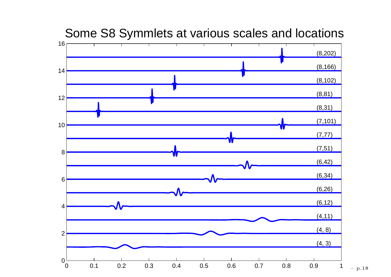

#### Some S8 Symmlets at various scales and locations

– p.18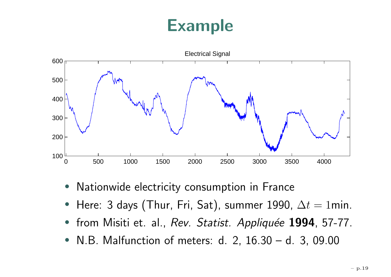# **Example**



- •Nationwide electricity consumption in France
- Here: 3 days (Thur, Fri, Sat), summer 1990,  $\Delta t=1$ min.
- $\bullet$ from Misiti et. al., Rev. Statist. Appliquée 1994, 57-77.
- •N.B. Malfunction of meters: d. 2, 16.30 – d. 3, 09.00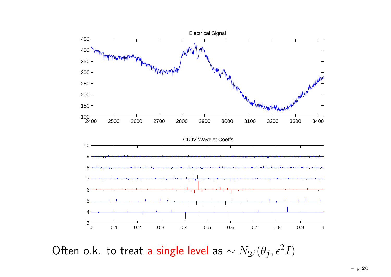

Often o.k. to treat a single level as  $\sim N_{2}(\theta_j,\epsilon^2 I)$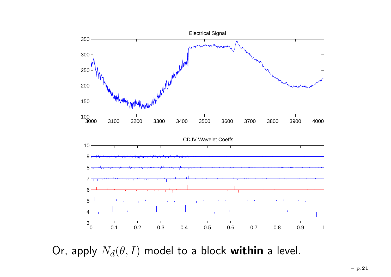

Or, apply  $N_d(\theta, I)$  model to a block within a level.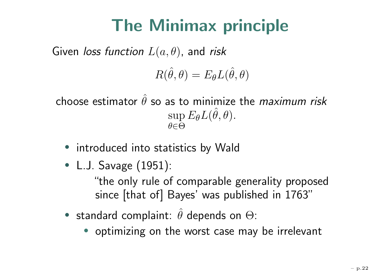# **The Minimax principle**

Given *loss function*  $L(a, \theta)$ *,* and *risk* 

$$
R(\hat{\theta},\theta)=E_{\theta}L(\hat{\theta},\theta)
$$

choose estimator  $\hat{\theta}$  so as to minimize the *maximum risk*  $\sup E_{\theta}L(\hat{\theta}$ θ∈ Θ $\theta, \theta).$ 

- introduced into statistics by Wald
- L.J. Savage (1951):

"the only rule of comparable generality proposed since [that of] Bayes' was published in 1763"

- $\bullet\,$  standard complaint:  $\hat{\theta}$  depends on  $\Theta$ :
	- optimizing on the worst case may be irrelevant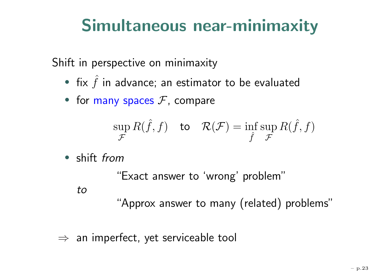# **Simultaneous near-minimaxity**

Shift in perspective on minimaxity

- fix  $\hat{f}$  in advance; an estimator to be evaluated
- for many spaces  $\mathcal F$ , compare

$$
\sup_{\mathcal{F}} R(\hat{f}, f) \quad \text{to} \quad \mathcal{R}(\mathcal{F}) = \inf_{\hat{f}} \sup_{\mathcal{F}} R(\hat{f}, f)
$$

• shift from

"Exact answer to 'wrong' problem" to"Approx answer to many (related) problems"

 $\Rightarrow$  an imperfect, yet serviceable tool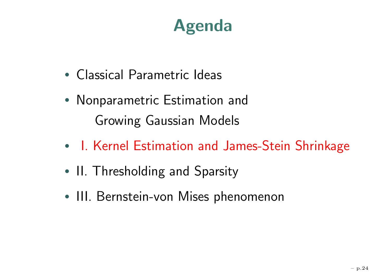# **Agenda**

- Classical Parametric Ideas
- Nonparametric Estimation and Growing Gaussian Models
- •• I. Kernel Estimation and James-Stein Shrinkage
- •• II. Thresholding and Sparsity
- III. Bernstein-von Mises phenomenon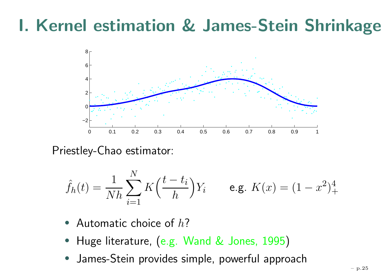### **I. Kernel estimation & James-Stein Shrinkage**



Priestley-Chao estimator:

$$
\hat{f}_h(t) = \frac{1}{Nh} \sum_{i=1}^{N} K\left(\frac{t - t_i}{h}\right) Y_i \qquad \text{e.g. } K(x) = (1 - x^2)_+^4
$$

- Automatic choice of  $h$ ?
- Huge literature, (e.g. Wand & Jones, <sup>1995</sup> )
- •James-Stein provides simple, powerful approach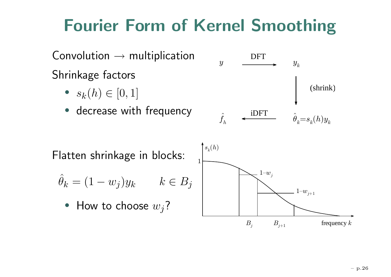# **Fourier Form of Kernel Smoothing**

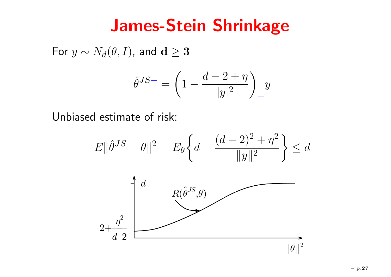#### **James-Stein Shrinkage**

For  $y \sim N_d(\theta,I)$ , and  $\mathbf{d} \geq \mathbf{3}$ 

$$
\hat{\theta}^{JS+} = \left(1 - \frac{d-2+\eta}{|y|^2}\right)_+ y
$$

Unbiased estimate of risk:

$$
E \|\hat{\theta}^{JS} - \theta\|^2 = E_{\theta} \left\{ d - \frac{(d-2)^2 + \eta^2}{\|y\|^2} \right\} \le d
$$

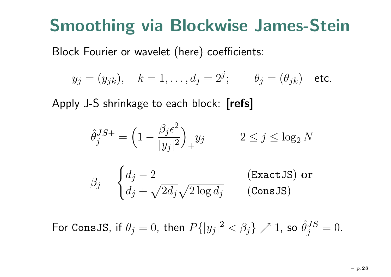### **Smoothing via Blockwise James-Stein**

Block Fourier or wavelet (here) coefficients:

$$
y_j = (y_{jk}),
$$
  $k = 1, ..., d_j = 2^j;$   $\theta_j = (\theta_{jk})$  etc.

Apply J-S shrinkage to each block: **[refs]**

$$
\hat{\theta}_j^{JS+} = \left(1 - \frac{\beta_j \epsilon^2}{|y_j|^2}\right)_+ y_j \qquad 2 \le j \le \log_2 N
$$

$$
\beta_j = \begin{cases} d_j - 2 & \text{(Exact JS) or} \\ d_j + \sqrt{2d_j} \sqrt{2 \log d_j} & \text{(ConsJS)} \end{cases}
$$

For ConsJS, if  $\theta_j=0$ , then  $P\{|y_j|^2<\beta_j\}\nearrow 1$ , so  $\hat{\theta}_j^{JS}=0.$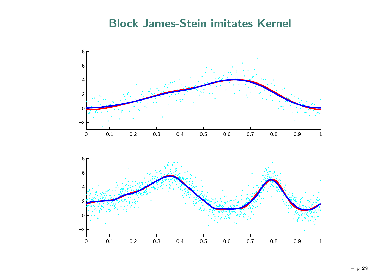#### **Block James-Stein imitates Kernel**



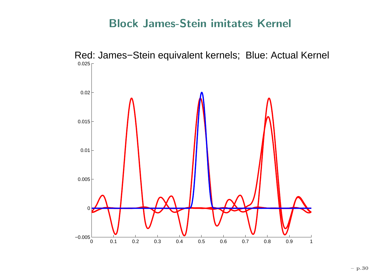#### **Block James-Stein imitates Kernel**

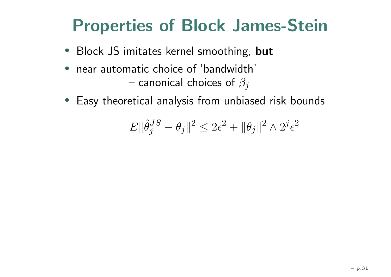# **Properties of Block James-Stein**

- Block JS imitates kernel smoothing, **but**
- $\bullet$ • near automatic choice of 'bandwidth' – canonical choices of  $\beta_j$
- Easy theoretical analysis from unbiased risk bounds

$$
E\|\hat{\theta}_j^{JS}-\theta_j\|^2\leq 2\epsilon^2+\|\theta_j\|^2\wedge 2^j\epsilon^2
$$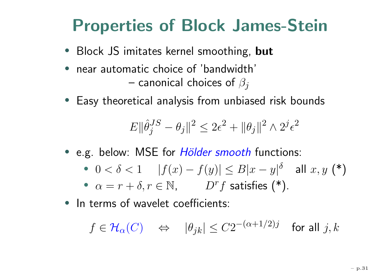# **Properties of Block James-Stein**

- Block JS imitates kernel smoothing, **but**
- • near automatic choice of 'bandwidth'– canonical choices of  $\beta_j$
- Easy theoretical analysis from unbiased risk bounds

$$
E \|\hat{\theta}_j^{JS} - \theta_j\|^2 \leq 2\epsilon^2 + \|\theta_j\|^2 \wedge 2^j \epsilon^2
$$

- e.g. below: MSE for *Hölder smooth* functions:
	- $\bullet \ \ 0 < \delta < 1 \ \ \ \ \ \ \ \vert f(x)$  $-f(y)| \leq B|x|$  $-y|^\delta$  all  $x, y$  (\*)
	- $\alpha = r + \delta, r \in \mathbb{N}$ ,  $D^r$  $f$  satisfies  $(*)$ .
- In terms of wavelet coefficients:

$$
f\in \mathcal H_\alpha(C)\quad \Leftrightarrow\quad |\theta_{jk}|\le C 2^{-(\alpha+1/2)j}\quad\text{for all }j,k
$$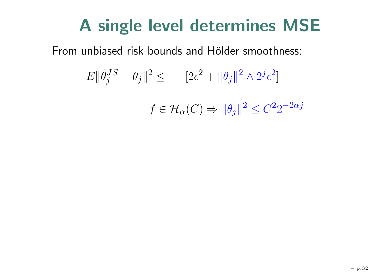### **A single level determines MSE**

From unbiased risk bounds and Hölder smoothness:

$$
E \|\hat{\theta}_j^{JS} - \theta_j\|^2 \leq \qquad [2\epsilon^2 + \|\theta_j\|^2 \wedge 2^j \epsilon^2]
$$

$$
f \in \mathcal{H}_{\alpha}(C) \Rightarrow ||\theta_j||^2 \leq C^2 2^{-2\alpha j}
$$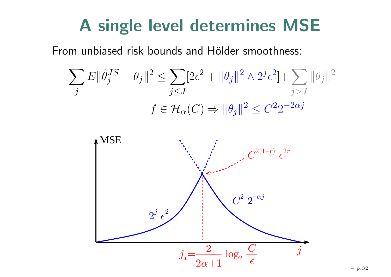### **A single level determines MSE**

From unbiased risk bounds and Hölder smoothness:

$$
\sum_{j} E \|\hat{\theta}_{j}^{JS} - \theta_{j}\|^{2} \le \sum_{j \le J} [2\epsilon^{2} + \|\theta_{j}\|^{2} \wedge 2^{j} \epsilon^{2}] + \sum_{j>J} \|\theta_{j}\|^{2}
$$

$$
f \in \mathcal{H}_{\alpha}(C) \Rightarrow \|\theta_{j}\|^{2} \le C^{2} 2^{-2\alpha j}
$$

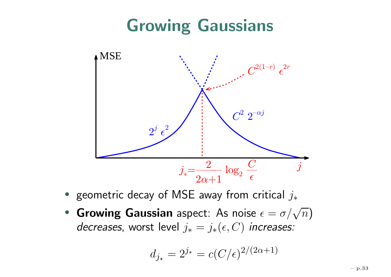# **Growing Gaussians**



- geometric decay of MSE away from critical  $j_{\ast}$
- **Growing Gaussian** aspect: As noise  $\epsilon =$  $= \sigma/\sqrt{n}$ decreases, worst level  $j_*=j_*(\epsilon,C)$  increases:

$$
d_{j_{\star}} = 2^{j_{\star}} = c(C/\epsilon)^{2/(2\alpha+1)}
$$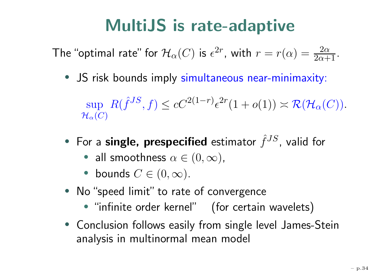# **MultiJS is rate-adaptive**

The "optimal rate" for  $\mathcal H_\alpha(C)$  is  $\epsilon$  $^{2r}$ , with  $r=r(\alpha)=\frac{2\alpha}{2\alpha+1}.$ 

• JS risk bounds imply simultaneous near-minimaxity:

 $\sup R(\hat{f}^{JS}, f) \leq cC^{2(1)}$  $\mathcal H_\alpha(C)$  $-r$ ) $\epsilon$ 2  $r(1+o(1)) \asymp \mathcal{R}(\mathcal{H}_{\alpha}(C)).$ 

- For a single, prespecified estimator  $\hat{f}^{JS}$ , valid for
	- all smoothness  $\alpha \in (0,\infty)$ ,
	- bounds  $C\in(0,\infty)$ .
- No"speed limit" to rate of convergence
	- "infinite order kernel" (for certain wavelets)
- Conclusion follows easily from single level James-Stein analysis in multinormal mean model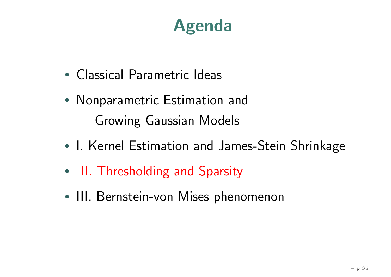# **Agenda**

- Classical Parametric Ideas
- Nonparametric Estimation and Growing Gaussian Models
- •• I. Kernel Estimation and James-Stein Shrinkage
- •• II. Thresholding and Sparsity
- III. Bernstein-von Mises phenomenon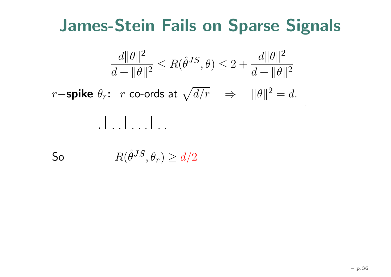#### **James-Stein Fails on Sparse Signals**

$$
\frac{d\|\theta\|^2}{d+\|\theta\|^2} \le R(\hat{\theta}^{JS}, \theta) \le 2 + \frac{d\|\theta\|^2}{d+\|\theta\|^2}
$$
  
*r*-**spike**  $\theta_r$ : *r* co-ords at  $\sqrt{d/r} \implies \|\theta\|^2 = d$ .  

$$
\|\cdot\|_{\cdot}, \|\cdot\|_{\cdot}, \dots
$$

So  $R(\hat{\theta}^{JS}, \theta_r) \geq d/2$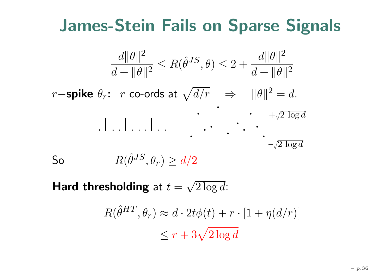#### **James-Stein Fails on Sparse Signals**

$$
\frac{d\|\theta\|^2}{d + \|\theta\|^2} \le R(\hat{\theta}^{JS}, \theta) \le 2 + \frac{d\|\theta\|^2}{d + \|\theta\|^2}
$$
  
*r*-**spike**  $\theta_r$ : *r* co-ords at  $\sqrt{d/r} \implies \|\theta\|^2 = d$ .  

$$
\frac{\cdot}{\cdot \cdot \cdot \cdot \cdot \cdot \cdot} + \sqrt{2 \log d}
$$
  
So  $R(\hat{\theta}^{JS}, \theta_r) \ge d/2$ 

**Hard thresholding** at  $t = \sqrt{2\log d}$ :

$$
R(\hat{\theta}^{HT}, \theta_r) \approx d \cdot 2t\phi(t) + r \cdot [1 + \eta(d/r)]
$$
  

$$
\leq r + 3\sqrt{2\log d}
$$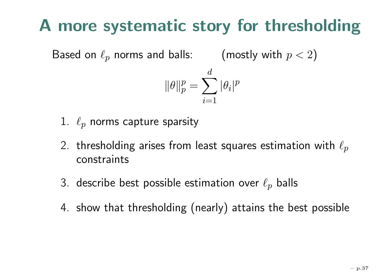# **A more systematic story for thresholding**

Based on  $\ell_p$  norms and balls:  $\qquad \pmod{p < 2}$ 

$$
\|\theta\|_p^p=\sum_{i=1}^d |\theta_i|^p
$$

- $1.$   $\ell_p$  norms capture sparsity
- 2. thresholding arises from least squares estimation with  $\ell_p$ constraints
- 3. describe best possible estimation over  $\ell_p$  balls
- 4. show that thresholding (nearly) attains the best possible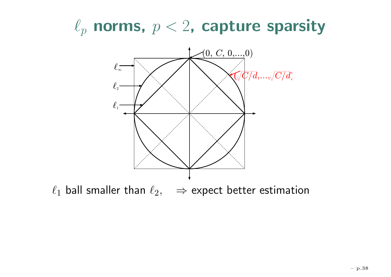$\ell_p$  norms,  $p < 2$ , capture sparsity



 $\ell_1$  ball smaller than  $\ell_2, \quad \Rightarrow$  expect better estimation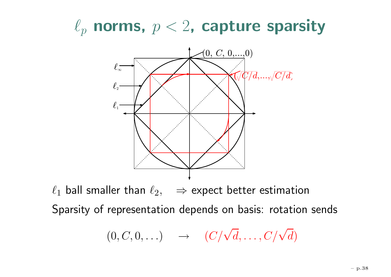$\ell_p$  norms,  $p < 2$ , capture sparsity



 $\ell_1$  ball smaller than  $\ell_2, \quad \Rightarrow$  expect better estimation Sparsity of representation depends on basis: rotation sends

$$
(0, C, 0, \ldots) \quad \to \quad (C/\sqrt{d}, \ldots, C/\sqrt{d})
$$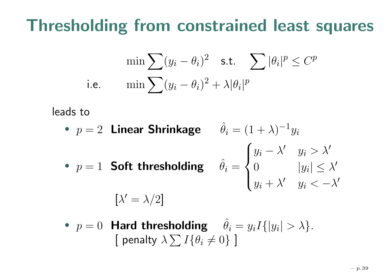# **Thresholding from constrained least squares**

$$
\min \sum (y_i - \theta_i)^2 \quad \text{s.t.} \quad \sum |\theta_i|^p \le C^p
$$
\ni.e.

\n
$$
\min \sum (y_i - \theta_i)^2 + \lambda |\theta_i|^p
$$

leads to

- $p = 2$  Linear Shrinkage  $\hat{\theta}_i = (1 + \lambda)^{-1} y_i$
- $p = 1$  Soft thresholding  $\hat{\theta}_i$

 $[\lambda'=\lambda/2]$ 

$$
y_i = \begin{cases} y_i - \lambda' & y_i > \lambda' \\ 0 & |y_i| \leq \lambda' \\ y_i + \lambda' & y_i < -\lambda' \end{cases}
$$

• 
$$
p = 0
$$
 Hard thresholding  $\hat{\theta}_i = y_i I\{|y_i| > \lambda\}$ .  
[ penalty  $\lambda \sum I\{\theta_i \neq 0\}$ ]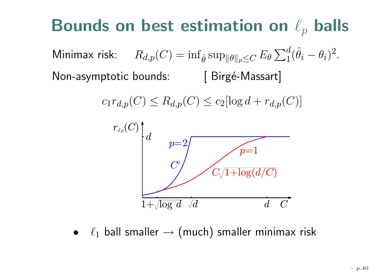#### **Bounds on best estimation on**  $\ell_p$  balls

Minimax risk:  $R_{d,p}(C)=\inf$  $_{\hat{\theta}}\sup_{\|\theta\|_p\leq C}E_{\theta}\sum_1^d(\hat{\theta}_i)$  $- \theta_i)^2$ . Non-asymptotic bounds: [ Birgé-Massart]

$$
c_1 r_{d,p}(C) \le R_{d,p}(C) \le c_2 [\log d + r_{d,p}(C)]
$$



 $\bullet$   $\ell_1$  ball smaller  $\rightarrow$  $\rightarrow$  (much) smaller minimax risk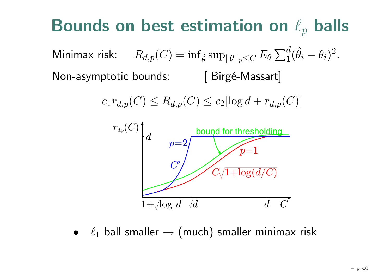#### **Bounds on best estimation on**  $\ell_p$  balls

Minimax risk:  $R_{d,p}(C)=\inf$  $_{\hat{\theta}}\sup_{\|\theta\|_p\leq C}E_{\theta}\sum_1^d(\hat{\theta}_i)$  $- \theta_i)^2$ . Non-asymptotic bounds: [ Birgé-Massart]

$$
c_1 r_{d,p}(C) \le R_{d,p}(C) \le c_2 [\log d + r_{d,p}(C)]
$$



 $\bullet$   $\ell_1$  ball smaller  $\rightarrow$  $\rightarrow$  (much) smaller minimax risk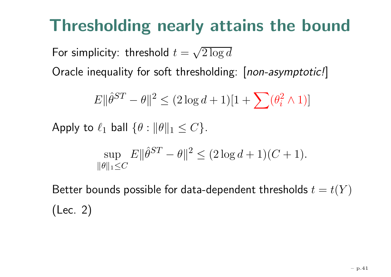# **Thresholding nearly attains the bound**

For simplicity: threshold  $t=\sqrt{2\log d}$ 

Oracle inequality for soft thresholding: [non-asymptotic!]

$$
E \|\hat{\theta}^{ST} - \theta\|^2 \le (2\log d + 1)[1 + \sum_{i} (\theta_i^2 \wedge 1)]
$$

Apply to  $\ell_1$  ball  $\{\theta: \|\theta\|_1 \leq C\}.$ 

$$
\sup_{\|\theta\|_1 \le C} E \|\hat{\theta}^{ST} - \theta\|^2 \le (2\log d + 1)(C + 1).
$$

Better bounds possible for data-dependent thresholds  $t=t(Y)$ (Lec. 2)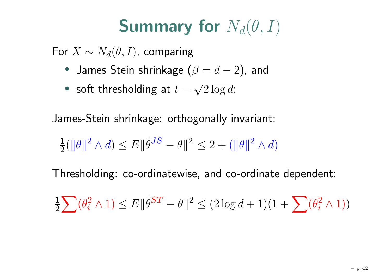# **Summary for**  $N_d(\theta, I)$

For  $X \sim N_d(\theta, I)$ , comparing

- $\bullet\;$  James Stein shrinkage  $(\beta=d-2)$ , and
- soft thresholding at  $t = \sqrt{2 \log d}$ :

James-Stein shrinkage: orthogonally invariant:

$$
\frac{1}{2}(\|\theta\|^2 \wedge d) \le E \|\hat{\theta}^{JS} - \theta\|^2 \le 2 + (\|\theta\|^2 \wedge d)
$$

Thresholding: co-ordinatewise, and co-ordinate dependent:

$$
\tfrac{1}{2}\sum (\theta_i^2\wedge 1) \leq E\|\hat\theta^{ST} - \theta\|^2 \leq (2\log d + 1)(1 + \sum (\theta_i^2\wedge 1))
$$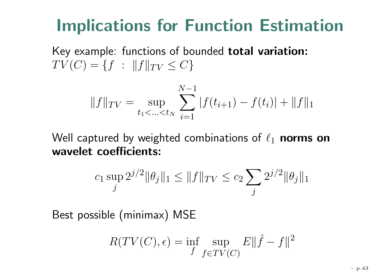# **Implications for Function Estimation**

Key example: functions of bounded **total variation:**  $TV(C) = \{f : ||f||_{TV} \leq C\}$ 

$$
||f||_{TV} = \sup_{t_1 < \dots < t_N} \sum_{i=1}^{N-1} |f(t_{i+1}) - f(t_i)| + ||f||_1
$$

Well captured by weighted combinations of  $\ell_1$  **norms on wavelet coefficients:**

$$
c_1 \sup_j 2^{j/2} \|\theta_j\|_1 \le \|f\|_{TV} \le c_2 \sum_j 2^{j/2} \|\theta_j\|_1
$$

Best possible (minimax) MSE

$$
R(TV(C), \epsilon) = \inf_{f} \sup_{f \in TV(C)} E||\hat{f} - f||^2
$$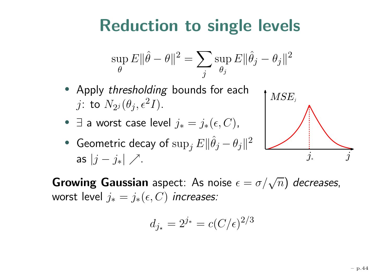# **Reduction to single levels**

$$
\sup_{\theta} E \|\hat{\theta} - \theta\|^2 = \sum_{j} \sup_{\theta_j} E \|\hat{\theta}_j - \theta_j\|^2
$$

- Apply thresholding bounds for each  $j$ : to  $N_{2^j}(\theta_j,\epsilon$  $^{2}I).$
- $\exists$  a worst case level  $j_{\ast}$  $=j_*(\epsilon, C)$  ,
- $\bullet$  Geometric decay of  $\sup_j$  $E\Vert$  $\hat{\theta}_j - \theta_j \|$ 2 as  $|j\>$  $-j_*$ |  $\nearrow$ .  $j_*$



 $\boldsymbol{\mathsf{Growing}}$   $\boldsymbol{\mathsf{Gaussian}}$  aspect: As noise  $\epsilon =$  $\sigma/\sqrt{n})$  decreases, worst level  $j_*=j_*(\epsilon,C)$  increases:

$$
d_{j\star}=2^{j\star}=c(C/\epsilon)^{2/3}
$$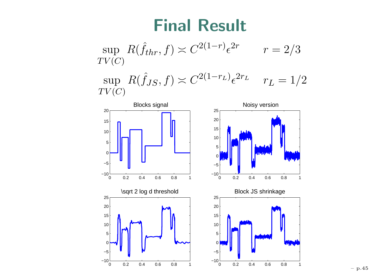#### **Final Result**

$$
\sup_{TV(C)} R(\hat{f}_{thr}, f) \asymp C^{2(1-r)} \epsilon^{2r} \qquad r = 2/3
$$

sup  $TV(C)$  $R(\hat{f}_{JS}, f) \asymp C^{2(1)}$  $-r_L$ <sub> $\epsilon$ </sub>  $\begin{array}{cc} 2r_L & r_L=1/2 \end{array}$ 





0.2 0.4 0.6 0.8 1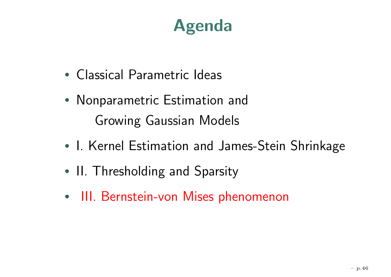# **Agenda**

- Classical Parametric Ideas
- Nonparametric Estimation and Growing Gaussian Models
- •• I. Kernel Estimation and James-Stein Shrinkage
- •• II. Thresholding and Sparsity
- III. Bernstein-von Mises phenomenon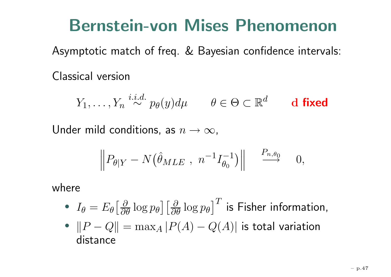### **Bernstein-von Mises Phenomenon**

Asymptotic match of freq. & Bayesian confidence intervals:

Classical version

 $Y_1,\ldots,Y_n \overset{i.i.d.}{\sim}$  $\stackrel{\text{a.e.}}{\sim} p_{\theta}(y) d\mu \qquad \theta \in \Theta \subset \mathbb{R}$ d **d fixed**

Under mild conditions, as  $n\to\infty$ ,

$$
\left\| P_{\theta|Y} - N(\hat{\theta}_{MLE} , n^{-1}I_{\theta_0}^{-1}) \right\| \stackrel{P_{n,\theta_0}}{\longrightarrow} 0,
$$

where

- $\bullet$   $I_{\theta}$  $\delta = E_\theta \big[\frac{\partial}{\partial \theta} \log p_\theta \big] \big[\frac{\partial}{\partial \theta} \log p_\theta\big]$  $\lceil$  $\, T \,$  $\dot{\phantom{\phi}}$  is Fisher information,
- $\bullet$  $||P - Q|| = \max_{A} |P(A)$  $-Q(A)|$  is total variation distance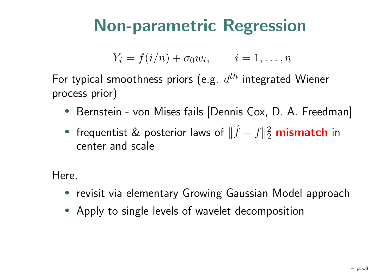# **Non-parametric Regression**

$$
Y_i = f(i/n) + \sigma_0 w_i, \qquad i = 1, \ldots, n
$$

For typical smoothness priors (e.g.  $\,d^{th}$  integrated Wiener process prior)

- Bernstein von Mises fails [Dennis Cox, D. A. Freedman]
- frequentist & posterior laws of ||  $\hat{f}$  $-f||$ 2 2 **mismatch** in center and scale

Here,

- revisit via elementary Growing Gaussian Model approach
- Apply to single levels of wavelet decomposition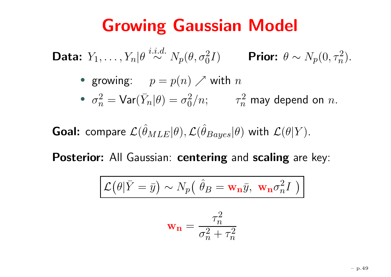### **Growing Gaussian Model**

Data:  $Y_1, \ldots, Y_n|\theta \stackrel{i.i.d.}{\sim}$  $\stackrel{i.d.}{\sim} N_p(\theta, \sigma_0^2 I)$  **Prior:**  $\theta \sim N_p(0, \tau_n^2)$ .

• growing:  $p = p(n) \nearrow$  with  $n$ 

 $\bullet$   $\sigma$  $\Omega_n^2 = \textsf{Var}(\bar{Y}_n | \theta) = \sigma$ 2  $\frac{2}{0}/n; \qquad \tau_n^2$  may depend on  $n.$ 

 $\textbf{Goal: } \textsf{compare } \mathcal{L}(\hat{\theta}_{MLE}|\theta), \mathcal{L}(\hat{\theta}_{Bayes}|\theta) \text{ with } \mathcal{L}(\theta|Y).$ 

**Posterior:** All Gaussian: **centering** and **scaling** are key:

$$
\mathcal{L}(\theta|\bar{Y}=\bar{y}) \sim N_p(\hat{\theta}_B = \mathbf{w_n}\bar{y}, \mathbf{w_n}\sigma_n^2 I)
$$

$$
\mathbf{w_n} = \frac{\tau_n^2}{\sigma_n^2 + \tau_n^2}
$$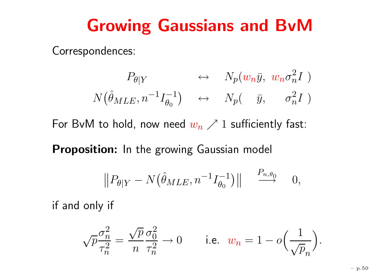#### **Growing Gaussians and BvM**

Correspondences:

$$
P_{\theta|Y} \leftrightarrow N_p(w_n \bar{y}, w_n \sigma_n^2 I)
$$
  

$$
N(\hat{\theta}_{MLE}, n^{-1}I_{\theta_0}^{-1}) \leftrightarrow N_p(\bar{y}, \bar{\sigma}_n^2 I)
$$

For BvM to hold, now need  $w_n\nearrow 1$  sufficiently fast:

**Proposition:** In the growing Gaussian model

$$
||P_{\theta|Y} - N(\hat{\theta}_{MLE}, n^{-1}I_{\theta_0}^{-1})|| \stackrel{P_{n,\theta_0}}{\longrightarrow} 0,
$$

if and only if

$$
\sqrt{p}\frac{\sigma_n^2}{\tau_n^2}=\frac{\sqrt{p}}{n}\frac{\sigma_0^2}{\tau_n^2}\to 0\qquad\textrm{ i.e. }\;w_n=1-o\Big(\frac{1}{\sqrt{p}_n}\Big).
$$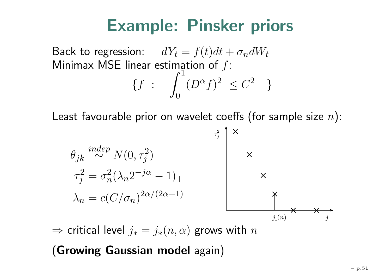### **Example: Pinsker priors**

Back to regression:  $\;\;dY_t$  $= f(t)dt + \sigma_n dW_t$ Minimax MSE linear estimation of  $f\colon$  $\{f :$  $\int_0^1$ 0 $(D)$  $\int^{\alpha} f$ )<sup>2</sup>  $\leq C$ 2 }

Least favourable prior on wavelet coeffs (for sample size  $n)$ :



 $\Rightarrow$  critical level  $j_{\ast}$  $j_*(n,\alpha)$  grows with  $n$ 

(**Growing Gaussian model** again)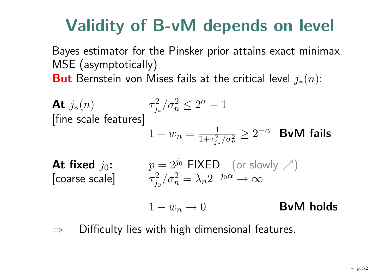# **Validity of B-vM depends on level**

Bayes estimator for the Pinsker prior attains exact minimax MSE (asymptotically)  ${\bf But}$  Bernstein von Mises fails at the critical level  $j_*(n)$ :

At 
$$
j_*(n)
$$
  
\n[fine scale features]  
\n
$$
1 - w_n = \frac{1}{1 + \tau_{j_*}^2/\sigma_n^2} \ge 2^{-\alpha}
$$
\n**BvM fails**

At fixed  $j_0$ :  $p=2$ [coarse scale]

$$
p = 2^{j_0} \text{FIXED} \text{ (or slowly } \nearrow)
$$

$$
\tau_{j_0}^2 / \sigma_n^2 = \lambda_n 2^{-j_0 \alpha} \to \infty
$$

 $1-w_n \rightarrow$ 0 **BvM holds**

⇒Difficulty lies with high dimensional features.